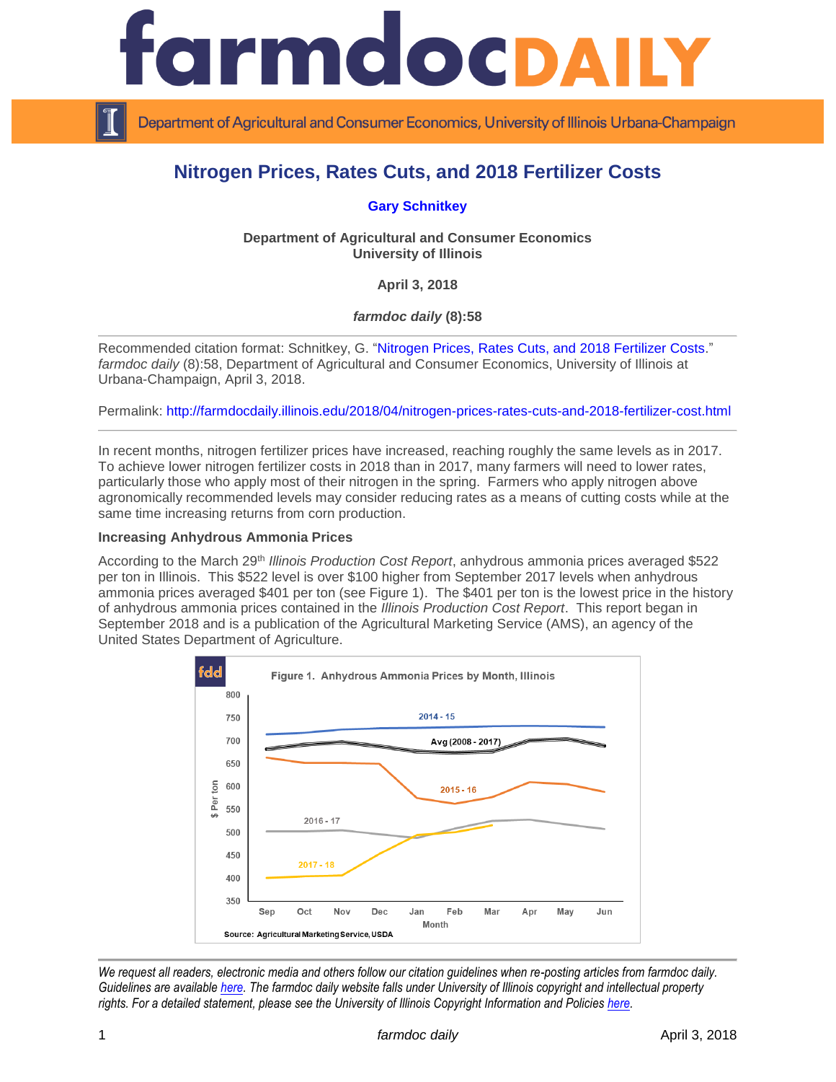

Department of Agricultural and Consumer Economics, University of Illinois Urbana-Champaign

# **Nitrogen Prices, Rates Cuts, and 2018 Fertilizer Costs**

# **[Gary Schnitkey](http://farmdoc.illinois.edu/schnitkey)**

**Department of Agricultural and Consumer Economics University of Illinois**

**April 3, 2018**

*farmdoc daily* **(8):58**

Recommended citation format: Schnitkey, G. ["Nitrogen Prices, Rates Cuts, and 2018 Fertilizer Costs.](http://farmdocdaily.illinois.edu/2018/04/nitrogen-prices-rates-cuts-and-2018-fertilizer-cost.html)" *farmdoc daily* (8):58, Department of Agricultural and Consumer Economics, University of Illinois at Urbana-Champaign, April 3, 2018.

Permalink:<http://farmdocdaily.illinois.edu/2018/04/nitrogen-prices-rates-cuts-and-2018-fertilizer-cost.html>

In recent months, nitrogen fertilizer prices have increased, reaching roughly the same levels as in 2017. To achieve lower nitrogen fertilizer costs in 2018 than in 2017, many farmers will need to lower rates, particularly those who apply most of their nitrogen in the spring. Farmers who apply nitrogen above agronomically recommended levels may consider reducing rates as a means of cutting costs while at the same time increasing returns from corn production.

#### **Increasing Anhydrous Ammonia Prices**

According to the March 29th *Illinois Production Cost Report*, anhydrous ammonia prices averaged \$522 per ton in Illinois. This \$522 level is over \$100 higher from September 2017 levels when anhydrous ammonia prices averaged \$401 per ton (see Figure 1). The \$401 per ton is the lowest price in the history of anhydrous ammonia prices contained in the *Illinois Production Cost Report*. This report began in September 2018 and is a publication of the Agricultural Marketing Service (AMS), an agency of the United States Department of Agriculture.



*We request all readers, electronic media and others follow our citation guidelines when re-posting articles from farmdoc daily. Guidelines are available [here.](http://farmdocdaily.illinois.edu/citationguide.html) The farmdoc daily website falls under University of Illinois copyright and intellectual property rights. For a detailed statement, please see the University of Illinois Copyright Information and Policies [here.](http://www.cio.illinois.edu/policies/copyright/)*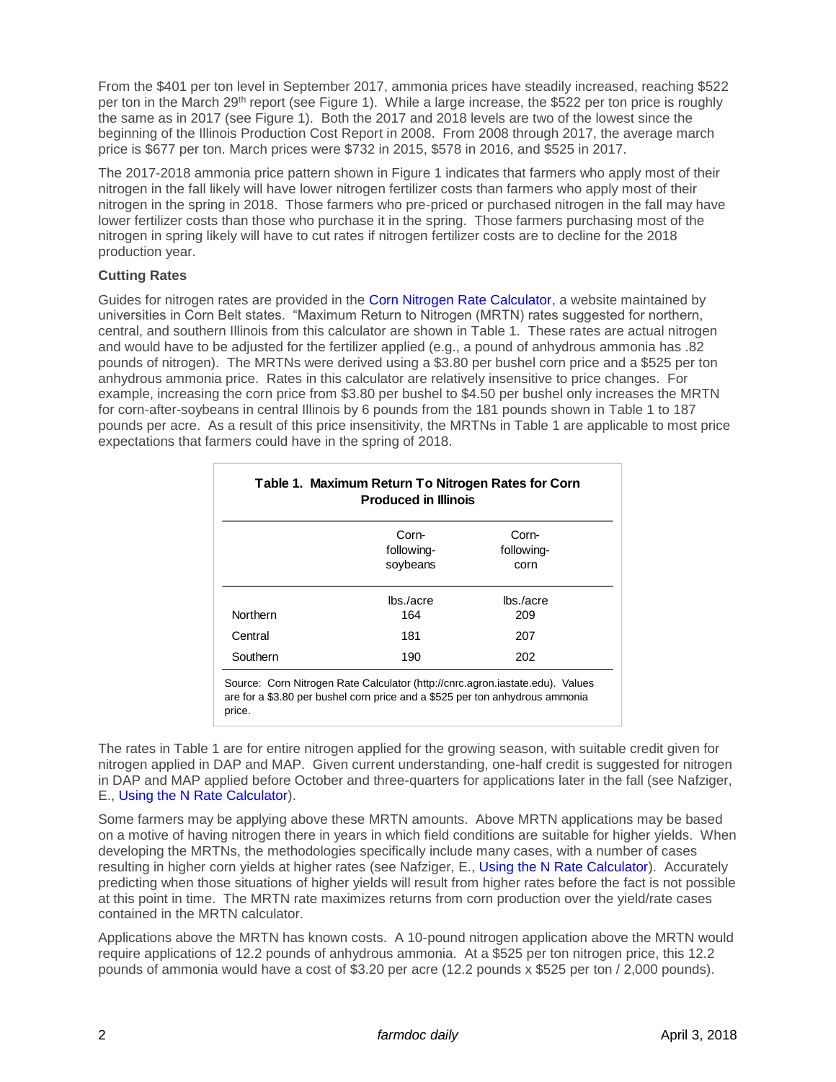From the \$401 per ton level in September 2017, ammonia prices have steadily increased, reaching \$522 per ton in the March 29<sup>th</sup> report (see Figure 1). While a large increase, the \$522 per ton price is roughly the same as in 2017 (see Figure 1). Both the 2017 and 2018 levels are two of the lowest since the beginning of the Illinois Production Cost Report in 2008. From 2008 through 2017, the average march price is \$677 per ton. March prices were \$732 in 2015, \$578 in 2016, and \$525 in 2017.

The 2017-2018 ammonia price pattern shown in Figure 1 indicates that farmers who apply most of their nitrogen in the fall likely will have lower nitrogen fertilizer costs than farmers who apply most of their nitrogen in the spring in 2018. Those farmers who pre-priced or purchased nitrogen in the fall may have lower fertilizer costs than those who purchase it in the spring. Those farmers purchasing most of the nitrogen in spring likely will have to cut rates if nitrogen fertilizer costs are to decline for the 2018 production year.

# **Cutting Rates**

Guides for nitrogen rates are provided in the [Corn Nitrogen Rate Calculator,](http://cnrc.agron.iastate.edu/) a website maintained by universities in Corn Belt states. "Maximum Return to Nitrogen (MRTN) rates suggested for northern, central, and southern Illinois from this calculator are shown in Table 1. These rates are actual nitrogen and would have to be adjusted for the fertilizer applied (e.g., a pound of anhydrous ammonia has .82 pounds of nitrogen). The MRTNs were derived using a \$3.80 per bushel corn price and a \$525 per ton anhydrous ammonia price. Rates in this calculator are relatively insensitive to price changes. For example, increasing the corn price from \$3.80 per bushel to \$4.50 per bushel only increases the MRTN for corn-after-soybeans in central Illinois by 6 pounds from the 181 pounds shown in Table 1 to 187 pounds per acre. As a result of this price insensitivity, the MRTNs in Table 1 are applicable to most price expectations that farmers could have in the spring of 2018.

|                 | Corn-<br>following-<br>soybeans | Corn-<br>following-<br>corn |
|-----------------|---------------------------------|-----------------------------|
| <b>Northern</b> | $\ln s$ /acre<br>164            | $\ln s$ /acre<br>209        |
| Central         | 181                             | 207                         |
| Southern        | 190                             | 202                         |

The rates in Table 1 are for entire nitrogen applied for the growing season, with suitable credit given for nitrogen applied in DAP and MAP. Given current understanding, one-half credit is suggested for nitrogen in DAP and MAP applied before October and three-quarters for applications later in the fall (see Nafziger, E., [Using the N Rate Calculator\)](http://bulletin.ipm.illinois.edu/?p=3975).

Some farmers may be applying above these MRTN amounts. Above MRTN applications may be based on a motive of having nitrogen there in years in which field conditions are suitable for higher yields. When developing the MRTNs, the methodologies specifically include many cases, with a number of cases resulting in higher corn yields at higher rates (see Nafziger, E., [Using the N Rate Calculator\)](http://bulletin.ipm.illinois.edu/?p=3975). Accurately predicting when those situations of higher yields will result from higher rates before the fact is not possible at this point in time. The MRTN rate maximizes returns from corn production over the yield/rate cases contained in the MRTN calculator.

Applications above the MRTN has known costs. A 10-pound nitrogen application above the MRTN would require applications of 12.2 pounds of anhydrous ammonia. At a \$525 per ton nitrogen price, this 12.2 pounds of ammonia would have a cost of \$3.20 per acre (12.2 pounds x \$525 per ton / 2,000 pounds).